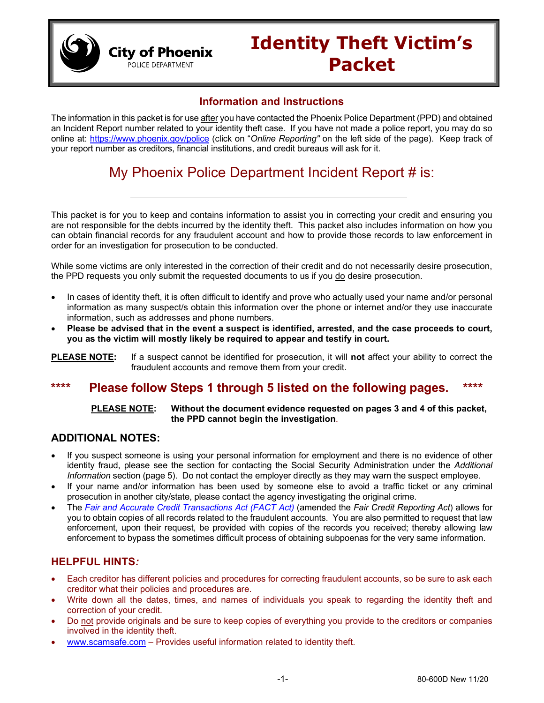

### **Information and Instructions**

**City of Phoenix** POLICE DEPARTMENT

The information in this packet is for use after you have contacted the Phoenix Police Department (PPD) and obtained an Incident Report number related to your identity theft case. If you have not made a police report, you may do so online at: [https://www.phoenix.gov/police](https://www.phoenix.gov/police%20(click) (click on "*Online Reporting"* on the left side of the page). Keep track of your report number as creditors, financial institutions, and credit bureaus will ask for it.

## My Phoenix Police Department Incident Report # is:

This packet is for you to keep and contains information to assist you in correcting your credit and ensuring you are not responsible for the debts incurred by the identity theft. This packet also includes information on how you can obtain financial records for any fraudulent account and how to provide those records to law enforcement in order for an investigation for prosecution to be conducted.

While some victims are only interested in the correction of their credit and do not necessarily desire prosecution, the PPD requests you only submit the requested documents to us if you do desire prosecution.

- In cases of identity theft, it is often difficult to identify and prove who actually used your name and/or personal information as many suspect/s obtain this information over the phone or internet and/or they use inaccurate information, such as addresses and phone numbers.
- **Please be advised that in the event a suspect is identified, arrested, and the case proceeds to court, you as the victim will mostly likely be required to appear and testify in court.**

**PLEASE NOTE:** If a suspect cannot be identified for prosecution, it will **not** affect your ability to correct the fraudulent accounts and remove them from your credit.

### **\*\*\*\* Please follow Steps 1 through 5 listed on the following pages. \*\*\*\***

#### **PLEASE NOTE: Without the document evidence requested on pages 3 and 4 of this packet, the PPD cannot begin the investigation**.

### **ADDITIONAL NOTES:**

- If you suspect someone is using your personal information for employment and there is no evidence of other identity fraud, please see the section for contacting the Social Security Administration under the *Additional Information* section (page 5). Do not contact the employer directly as they may warn the suspect employee.
- If your name and/or information has been used by someone else to avoid a traffic ticket or any criminal prosecution in another city/state, please contact the agency investigating the original crime.
- The *[Fair and Accurate Credit Transactions Act \(FACT Act\)](https://www.congress.gov/108/plaws/publ159/PLAW-108publ159.pdf)* (amended the *Fair Credit Reporting Act*) allows for you to obtain copies of all records related to the fraudulent accounts. You are also permitted to request that law enforcement, upon their request, be provided with copies of the records you received; thereby allowing law enforcement to bypass the sometimes difficult process of obtaining subpoenas for the very same information.

### **HELPFUL HINTS***:*

- Each creditor has different policies and procedures for correcting fraudulent accounts, so be sure to ask each creditor what their policies and procedures are.
- Write down all the dates, times, and names of individuals you speak to regarding the identity theft and correction of your credit.
- Do not provide originals and be sure to keep copies of everything you provide to the creditors or companies involved in the identity theft.
- [www.scamsafe.com](http://www.scamsafe.com/) Provides useful information related to identity theft.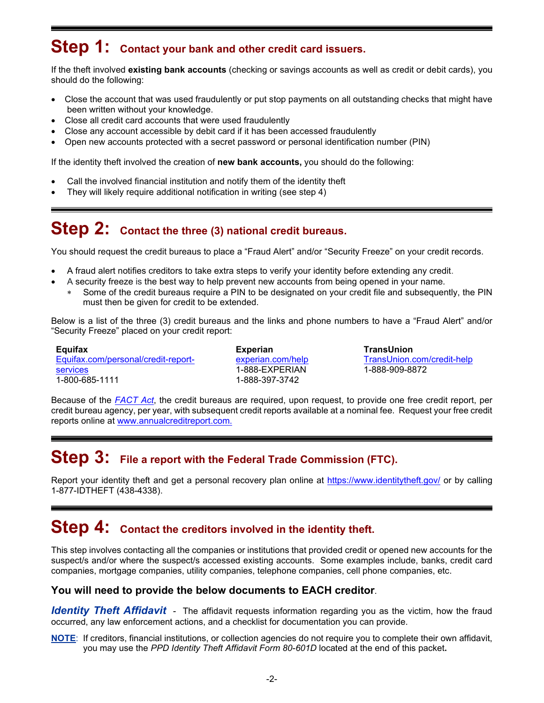## **Step 1: Contact your bank and other credit card issuers.**

If the theft involved **existing bank accounts** (checking or savings accounts as well as credit or debit cards), you should do the following:

- Close the account that was used fraudulently or put stop payments on all outstanding checks that might have been written without your knowledge.
- Close all credit card accounts that were used fraudulently
- Close any account accessible by debit card if it has been accessed fraudulently
- Open new accounts protected with a secret password or personal identification number (PIN)

If the identity theft involved the creation of **new bank accounts,** you should do the following:

- Call the involved financial institution and notify them of the identity theft
- They will likely require additional notification in writing (see step 4)

## **Step 2: Contact the three (3) national credit bureaus.**

You should request the credit bureaus to place a "Fraud Alert" and/or "Security Freeze" on your credit records.

- A fraud alert notifies creditors to take extra steps to verify your identity before extending any credit.
- A security freeze is the best way to help prevent new accounts from being opened in your name.
	- ∗ Some of the credit bureaus require a PIN to be designated on your credit file and subsequently, the PIN must then be given for credit to be extended.

Below is a list of the three (3) credit bureaus and the links and phone numbers to have a "Fraud Alert" and/or "Security Freeze" placed on your credit report:

**Equifax** [Equifax.com/personal/credit-report](https://www.equifax.com/personal/credit-report-services/)[services](https://www.equifax.com/personal/credit-report-services/) 1-800-685-1111

**Experian** [experian.com/help](https://www.experian.com/help/) 1-888-EXPERIAN 1-888-397-3742

**TransUnion** [TransUnion.com/credit-help](https://www.experian.com/help/) 1-888-909-8872

Because of the *[FACT Act](https://www.congress.gov/108/plaws/publ159/PLAW-108publ159.pdf)*, the credit bureaus are required, upon request, to provide one free credit report, per credit bureau agency, per year, with subsequent credit reports available at a nominal fee. Request your free credit reports online at [www.annualcreditreport.com.](http://www.annualcreditreport.com/)

### **Step 3: File a report with the Federal Trade Commission (FTC).**

Report your identity theft and get a personal recovery plan online at<https://www.identitytheft.gov/> or by calling 1-877-IDTHEFT (438-4338).

### **Step 4: Contact the creditors involved in the identity theft.**

This step involves contacting all the companies or institutions that provided credit or opened new accounts for the suspect/s and/or where the suspect/s accessed existing accounts. Some examples include, banks, credit card companies, mortgage companies, utility companies, telephone companies, cell phone companies, etc.

### **You will need to provide the below documents to EACH creditor**.

*Identity Theft Affidavit -* The affidavit requests information regarding you as the victim, how the fraud occurred, any law enforcement actions, and a checklist for documentation you can provide.

**NOTE**: If creditors, financial institutions, or collection agencies do not require you to complete their own affidavit, you may use the *PPD Identity Theft Affidavit Form 80-601D* located at the end of this packet**.**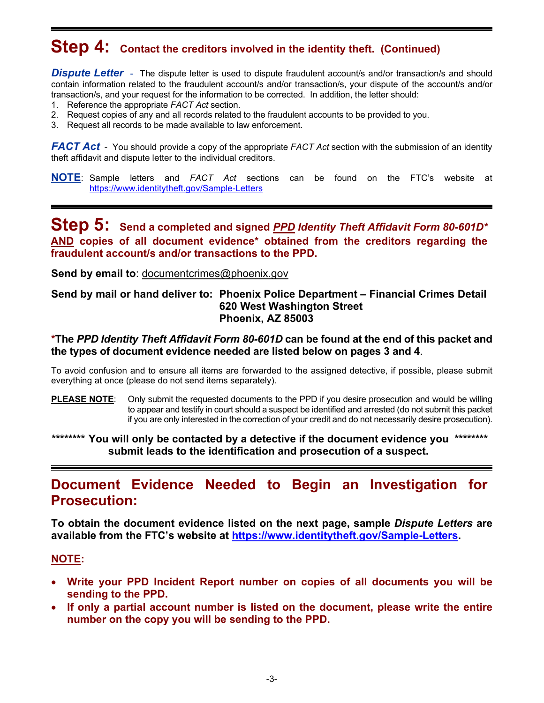# **Step 4: Contact the creditors involved in the identity theft. (Continued)**

**Dispute Letter** - The dispute letter is used to dispute fraudulent account/s and/or transaction/s and should contain information related to the fraudulent account/s and/or transaction/s, your dispute of the account/s and/or transaction/s, and your request for the information to be corrected. In addition, the letter should:

- 1. Reference the appropriate *FACT Act* section.
- 2. Request copies of any and all records related to the fraudulent accounts to be provided to you.
- 3. Request all records to be made available to law enforcement.

*FACT Act* - You should provide a copy of the appropriate *FACT Act* section with the submission of an identity theft affidavit and dispute letter to the individual creditors.

**NOTE**: Sample letters and *FACT Act* sections can be found on the FTC's website at <https://www.identitytheft.gov/Sample-Letters>

### **Step 5: Send a completed and signed** *PPD Identity Theft Affidavit Form 80-601D\** **AND copies of all document evidence\* obtained from the creditors regarding the fraudulent account/s and/or transactions to the PPD.**

**Send by email to**: [documentcrimes@phoenix.gov](mailto:documentcrimes@phoenix.gov)

### **Send by mail or hand deliver to: Phoenix Police Department – Financial Crimes Detail 620 West Washington Street Phoenix, AZ 85003**

### **\*The** *PPD Identity Theft Affidavit Form 80-601D* **can be found at the end of this packet and the types of document evidence needed are listed below on pages 3 and 4**.

To avoid confusion and to ensure all items are forwarded to the assigned detective, if possible, please submit everything at once (please do not send items separately).

**PLEASE NOTE**: Only submit the requested documents to the PPD if you desire prosecution and would be willing to appear and testify in court should a suspect be identified and arrested (do not submit this packet if you are only interested in the correction of your credit and do not necessarily desire prosecution).

**\*\*\*\*\*\*\*\* You will only be contacted by a detective if the document evidence you \*\*\*\*\*\*\*\* submit leads to the identification and prosecution of a suspect.**

### **Document Evidence Needed to Begin an Investigation for Prosecution:**

**To obtain the document evidence listed on the next page, sample** *Dispute Letters* **are available from the FTC's website at [https://www.identitytheft.gov/Sample-Letters.](https://www.identitytheft.gov/Sample-Letters)**

### **NOTE:**

- **Write your PPD Incident Report number on copies of all documents you will be sending to the PPD.**
- **If only a partial account number is listed on the document, please write the entire number on the copy you will be sending to the PPD.**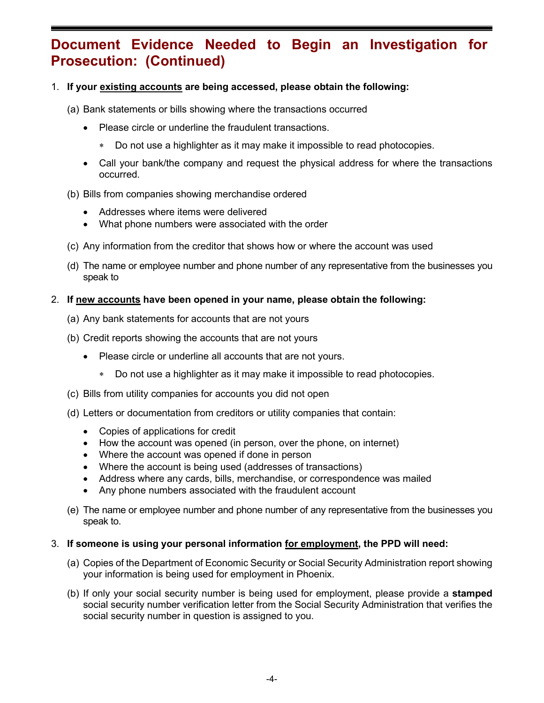## **Document Evidence Needed to Begin an Investigation for Prosecution: (Continued)**

### 1. **If your existing accounts are being accessed, please obtain the following:**

- (a) Bank statements or bills showing where the transactions occurred
	- Please circle or underline the fraudulent transactions.
		- Do not use a highlighter as it may make it impossible to read photocopies.
	- Call your bank/the company and request the physical address for where the transactions occurred.

#### (b) Bills from companies showing merchandise ordered

- Addresses where items were delivered
- What phone numbers were associated with the order
- (c) Any information from the creditor that shows how or where the account was used
- (d) The name or employee number and phone number of any representative from the businesses you speak to

#### 2. **If new accounts have been opened in your name, please obtain the following:**

- (a) Any bank statements for accounts that are not yours
- (b) Credit reports showing the accounts that are not yours
	- Please circle or underline all accounts that are not yours.
		- ∗ Do not use a highlighter as it may make it impossible to read photocopies.
- (c) Bills from utility companies for accounts you did not open
- (d) Letters or documentation from creditors or utility companies that contain:
	- Copies of applications for credit
	- How the account was opened (in person, over the phone, on internet)
	- Where the account was opened if done in person
	- Where the account is being used (addresses of transactions)
	- Address where any cards, bills, merchandise, or correspondence was mailed
	- Any phone numbers associated with the fraudulent account
- (e) The name or employee number and phone number of any representative from the businesses you speak to.

#### 3. **If someone is using your personal information for employment, the PPD will need:**

- (a) Copies of the Department of Economic Security or Social Security Administration report showing your information is being used for employment in Phoenix.
- (b) If only your social security number is being used for employment, please provide a **stamped** social security number verification letter from the Social Security Administration that verifies the social security number in question is assigned to you.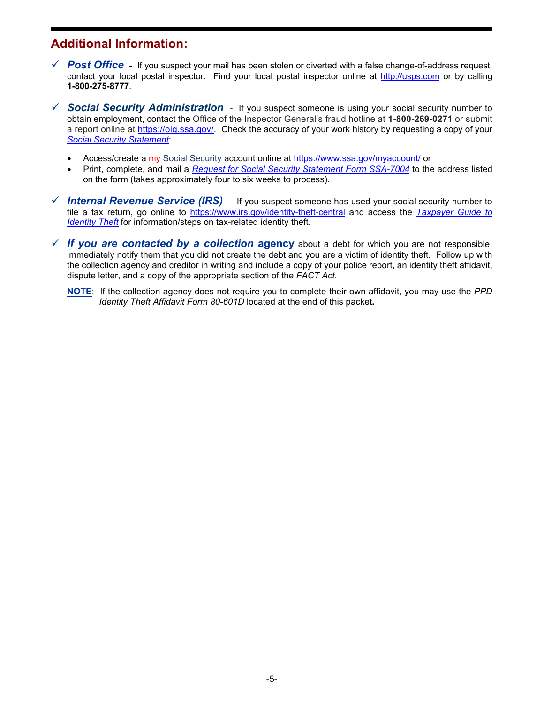### **Additional Information:**

- *√* **Post Office** If you suspect your mail has been stolen or diverted with a false change-of-address request, contact your local postal inspector. Find your local postal inspector online at [http://usps.com](http://usps.com/) or by calling **1-800-275-8777**.
- *Social Security Administration* If you suspect someone is using your social security number to obtain employment, contact the Office of the Inspector General's fraud hotline at **1-800-269-0271** or submit a report online at [https://oig.ssa.gov/.](https://oig.ssa.gov/) Check the accuracy of your work history by requesting a copy of your *[Social Security Statement](https://www.ssa.gov/help/global_statement7004.html)*:
	- Access/create a my Social Security account online at<https://www.ssa.gov/myaccount/> or
	- Print, complete, and mail a *[Request for Social Security Statement Form SSA-7004](https://www.ssa.gov/forms/ssa-7004.pdf)* to the address listed on the form (takes approximately four to six weeks to process).
- *Internal Revenue Service (IRS)*  If you suspect someone has used your social security number to file a tax return, go online to<https://www.irs.gov/identity-theft-central> and access the *[Taxpayer Guide to](https://www.irs.gov/newsroom/taxpayer-guide-to-identity-theft)  [Identity Theft](https://www.irs.gov/newsroom/taxpayer-guide-to-identity-theft)* for information/steps on tax-related identity theft.
- *If you are contacted by a collection* **agency** about a debt for which you are not responsible, immediately notify them that you did not create the debt and you are a victim of identity theft. Follow up with the collection agency and creditor in writing and include a copy of your police report, an identity theft affidavit, dispute letter, and a copy of the appropriate section of the *FACT Act*.
	- **NOTE**: If the collection agency does not require you to complete their own affidavit, you may use the *PPD Identity Theft Affidavit Form 80-601D* located at the end of this packet**.**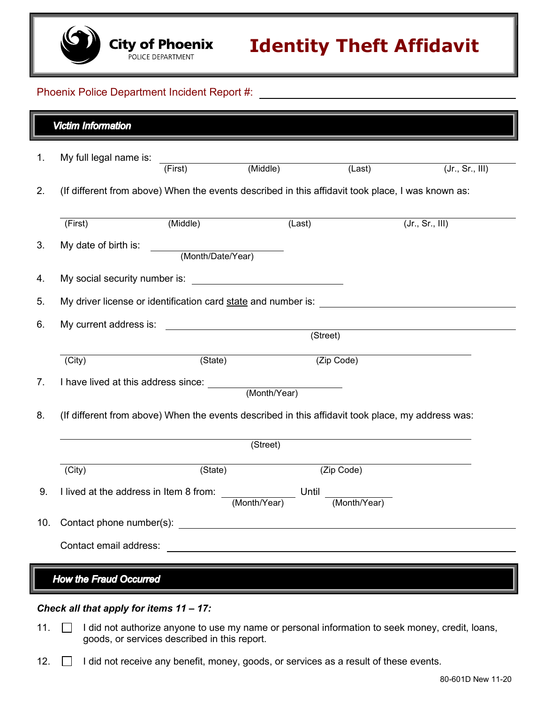#### Phoenix Police Department Incident Report #:

| <b>Victim Information</b>               |                                                                                                   |                                                                                                   |            |                 |                 |  |
|-----------------------------------------|---------------------------------------------------------------------------------------------------|---------------------------------------------------------------------------------------------------|------------|-----------------|-----------------|--|
| 1.                                      | My full legal name is:                                                                            | (Middle)<br>(First)                                                                               |            | (Last)          | (Jr., Sr., III) |  |
| 2.                                      |                                                                                                   | (If different from above) When the events described in this affidavit took place, I was known as: |            |                 |                 |  |
|                                         | (First)                                                                                           | (Middle)                                                                                          | (Last)     | (Jr., Sr., III) |                 |  |
| 3.                                      | My date of birth is:                                                                              | (Month/Date/Year)                                                                                 |            |                 |                 |  |
| 4.                                      | My social security number is: What is a second security number is:                                |                                                                                                   |            |                 |                 |  |
| 5.                                      |                                                                                                   |                                                                                                   |            |                 |                 |  |
| 6.                                      | My current address is:<br><u> 1990 - Johann Barbara, martin amerikan basal da</u><br>(Street)     |                                                                                                   |            |                 |                 |  |
|                                         | (City)                                                                                            | (State)                                                                                           | (Zip Code) |                 |                 |  |
| 7.                                      |                                                                                                   |                                                                                                   |            |                 |                 |  |
| 8.                                      | (If different from above) When the events described in this affidavit took place, my address was: |                                                                                                   |            |                 |                 |  |
|                                         | $\overline{\text{(Street)}}$                                                                      |                                                                                                   |            |                 |                 |  |
|                                         | (City)                                                                                            | (State)                                                                                           | (Zip Code) |                 |                 |  |
| 9.                                      | I lived at the address in Item 8 from: Until<br>(Month/Year)<br>(Month/Year)                      |                                                                                                   |            |                 |                 |  |
| 10.                                     |                                                                                                   |                                                                                                   |            |                 |                 |  |
|                                         | Contact email address:                                                                            | <u> 1980 - Johann John Stein, markin fizik eta idazlea (</u>                                      |            |                 |                 |  |
| How the Fraud Occurred                  |                                                                                                   |                                                                                                   |            |                 |                 |  |
| Check all that apply for items 11 - 17: |                                                                                                   |                                                                                                   |            |                 |                 |  |

- 11. **I** I did not authorize anyone to use my name or personal information to seek money, credit, loans, goods, or services described in this report.
- 12. **I** did not receive any benefit, money, goods, or services as a result of these events.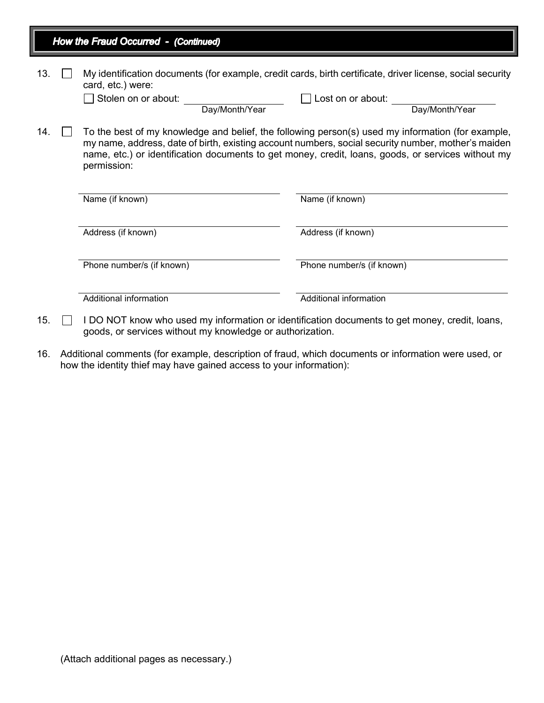|     | How the Fraud Occurred - (Continued) |                                                                                                                                                                                                                                                                                                                              |                                                                                                                                                   |  |  |  |  |  |
|-----|--------------------------------------|------------------------------------------------------------------------------------------------------------------------------------------------------------------------------------------------------------------------------------------------------------------------------------------------------------------------------|---------------------------------------------------------------------------------------------------------------------------------------------------|--|--|--|--|--|
| 13. |                                      | card, etc.) were:<br>Stolen on or about:<br>Day/Month/Year                                                                                                                                                                                                                                                                   | My identification documents (for example, credit cards, birth certificate, driver license, social security<br>Lost on or about:<br>Day/Month/Year |  |  |  |  |  |
| 14. |                                      | To the best of my knowledge and belief, the following person(s) used my information (for example,<br>my name, address, date of birth, existing account numbers, social security number, mother's maiden<br>name, etc.) or identification documents to get money, credit, loans, goods, or services without my<br>permission: |                                                                                                                                                   |  |  |  |  |  |
|     |                                      | Name (if known)                                                                                                                                                                                                                                                                                                              | Name (if known)                                                                                                                                   |  |  |  |  |  |
|     |                                      | Address (if known)                                                                                                                                                                                                                                                                                                           | Address (if known)                                                                                                                                |  |  |  |  |  |
|     |                                      | Phone number/s (if known)                                                                                                                                                                                                                                                                                                    | Phone number/s (if known)                                                                                                                         |  |  |  |  |  |
|     |                                      | Additional information                                                                                                                                                                                                                                                                                                       | Additional information                                                                                                                            |  |  |  |  |  |
| 15. |                                      | I DO NOT know who used my information or identification documents to get money, credit, loans,<br>goods, or services without my knowledge or authorization.                                                                                                                                                                  |                                                                                                                                                   |  |  |  |  |  |

16. Additional comments (for example, description of fraud, which documents or information were used, or how the identity thief may have gained access to your information):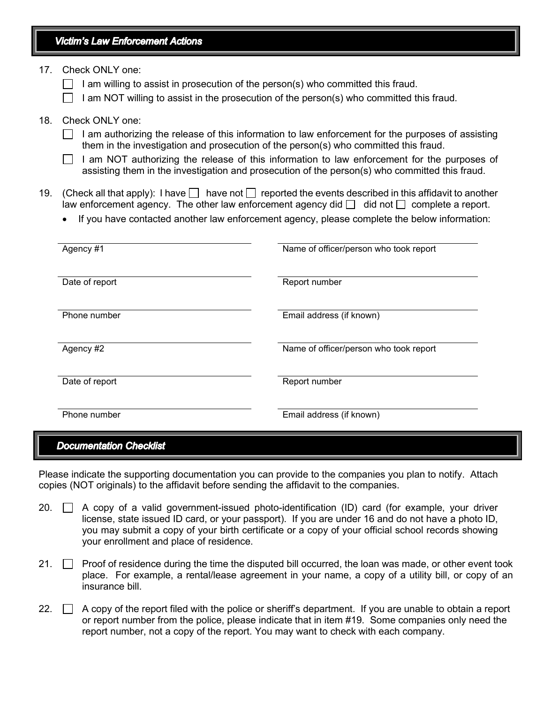### **Victim's Law Enforcement Actions**

17. Check ONLY one:

I am willing to assist in prosecution of the person(s) who committed this fraud.

I am NOT willing to assist in the prosecution of the person(s) who committed this fraud.

### 18. Check ONLY one:

- $\Box$  I am authorizing the release of this information to law enforcement for the purposes of assisting them in the investigation and prosecution of the person(s) who committed this fraud.
- I am NOT authorizing the release of this information to law enforcement for the purposes of assisting them in the investigation and prosecution of the person(s) who committed this fraud.
- 19. (Check all that apply): I have  $\Box$  have not  $\Box$  reported the events described in this affidavit to another law enforcement agency. The other law enforcement agency did  $\Box$  did not  $\Box$  complete a report.
	- If you have contacted another law enforcement agency, please complete the below information:

| Agency #1      | Name of officer/person who took report |
|----------------|----------------------------------------|
| Date of report | Report number                          |
| Phone number   | Email address (if known)               |
| Agency #2      | Name of officer/person who took report |
| Date of report | Report number                          |
| Phone number   | Email address (if known)               |

#### **Documentation Checklist**

Please indicate the supporting documentation you can provide to the companies you plan to notify. Attach copies (NOT originals) to the affidavit before sending the affidavit to the companies.

- 20.  $\Box$  A copy of a valid government-issued photo-identification (ID) card (for example, your driver license, state issued ID card, or your passport). If you are under 16 and do not have a photo ID, you may submit a copy of your birth certificate or a copy of your official school records showing your enrollment and place of residence.
- 21.  $\Box$  Proof of residence during the time the disputed bill occurred, the loan was made, or other event took place. For example, a rental/lease agreement in your name, a copy of a utility bill, or copy of an insurance bill.
- 22.  $\Box$  A copy of the report filed with the police or sheriff's department. If you are unable to obtain a report or report number from the police, please indicate that in item #19. Some companies only need the report number, not a copy of the report. You may want to check with each company.